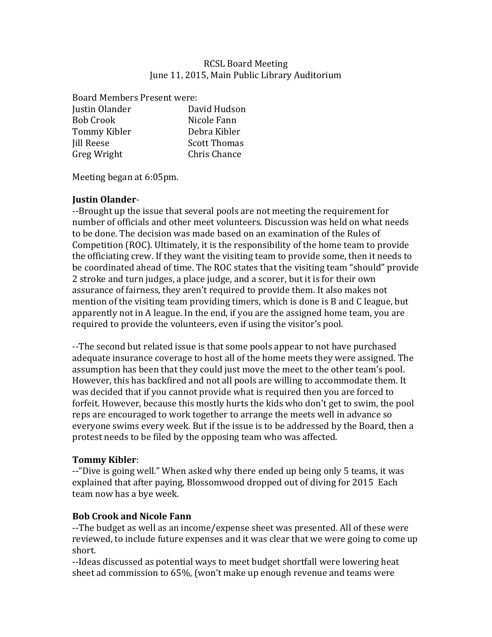### **RCSL Board Meeting** June 11, 2015, Main Public Library Auditorium

Board Members Present were: Justin Olander David Hudson Bob Crook Nicole Fann Tommy Kibler **Debra** Kibler Iill Reese Scott Thomas Greg Wright Chris Chance

Meeting began at 6:05pm.

### **Justin Olander**-

--Brought up the issue that several pools are not meeting the requirement for number of officials and other meet volunteers. Discussion was held on what needs to be done. The decision was made based on an examination of the Rules of Competition  $(ROC)$ . Ultimately, it is the responsibility of the home team to provide the officiating crew. If they want the visiting team to provide some, then it needs to be coordinated ahead of time. The ROC states that the visiting team "should" provide 2 stroke and turn judges, a place judge, and a scorer, but it is for their own assurance of fairness, they aren't required to provide them. It also makes not mention of the visiting team providing timers, which is done is B and C league, but apparently not in A league. In the end, if you are the assigned home team, you are required to provide the volunteers, even if using the visitor's pool.

--The second but related issue is that some pools appear to not have purchased adequate insurance coverage to host all of the home meets they were assigned. The assumption has been that they could just move the meet to the other team's pool. However, this has backfired and not all pools are willing to accommodate them. It was decided that if you cannot provide what is required then you are forced to forfeit. However, because this mostly hurts the kids who don't get to swim, the pool reps are encouraged to work together to arrange the meets well in advance so everyone swims every week. But if the issue is to be addressed by the Board, then a protest needs to be filed by the opposing team who was affected.

### **Tommy Kibler**:

 $-$ -"Dive is going well." When asked why there ended up being only 5 teams, it was explained that after paying, Blossomwood dropped out of diving for 2015 Each team now has a bye week.

# **Bob Crook and Nicole Fann**

--The budget as well as an income/expense sheet was presented. All of these were reviewed, to include future expenses and it was clear that we were going to come up short. 

--Ideas discussed as potential ways to meet budget shortfall were lowering heat sheet ad commission to  $65\%$ , (won't make up enough revenue and teams were